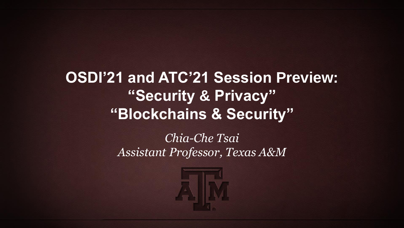**OSDI'21 and ATC'21 Session Preview: "Security & Privacy" "Blockchains & Security"**

### *Chia-Che Tsai Assistant Professor, Texas A&M*

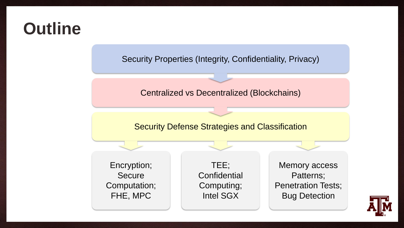## **Outline**

Security Properties (Integrity, Confidentiality, Privacy)

### Centralized vs Decentralized (Blockchains)

### Security Defense Strategies and Classification

Encryption; Secure Computation; FHE, MPC

TEE; **Confidential** Computing; Intel SGX

Memory access Patterns; Penetration Tests; Bug Detection

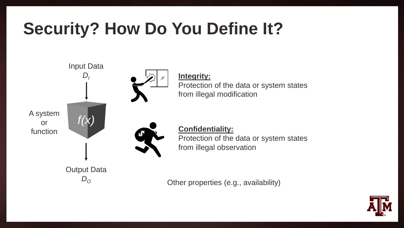## **Security? How Do You Define It?**



**Integrity:** Protection of the data or system states from illegal modification

> **Confidentiality:** Protection of the data or system states from illegal observation

Other properties (e.g., availability)

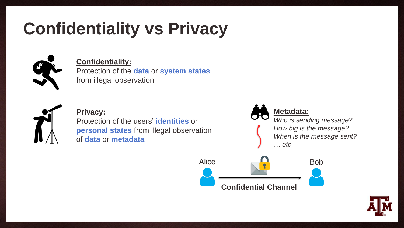## **Confidentiality vs Privacy**



### **Confidentiality:**

Protection of the **data** or **system states** from illegal observation



#### **Privacy:**

Protection of the users' **identities** or **personal states** from illegal observation of **data** or **metadata**



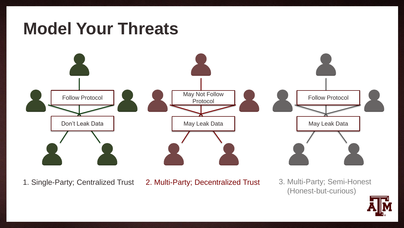

1. Single-Party; Centralized Trust 2. Multi-Party; Decentralized Trust

3. Multi-Party; Semi-Honest (Honest-but-curious)

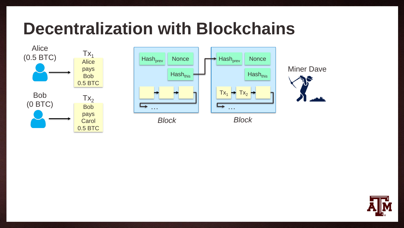### **Decentralization with Blockchains**







Miner Dave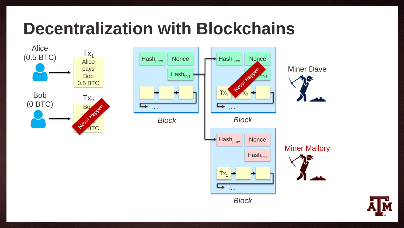## **Decentralization with Blockchains**







```
Block
```






Miner Mallory

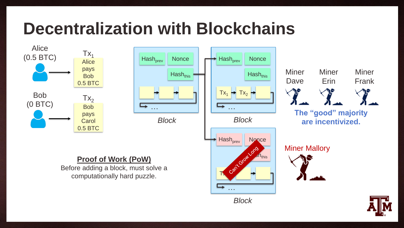## **Decentralization with Blockchains**







Dave Erin Frank **The "good" majority are incentivized.**

**Miner** 

Miner

Miner Mallory

Miner

#### **Proof of Work (PoW)**

Before adding a block, must solve a computationally hard puzzle.

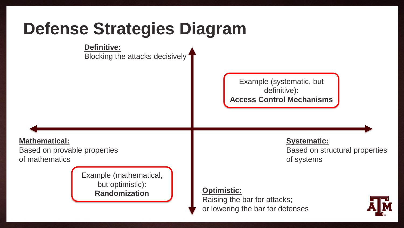## **Defense Strategies Diagram**

**Definitive:**

Blocking the attacks decisively

Example (systematic, but definitive): **Access Control Mechanisms**

**Mathematical:**

Based on provable properties of mathematics

> Example (mathematical, but optimistic): **Randomization**

**Systematic:** Based on structural properties of systems

### **Optimistic:**

Raising the bar for attacks; or lowering the bar for defenses

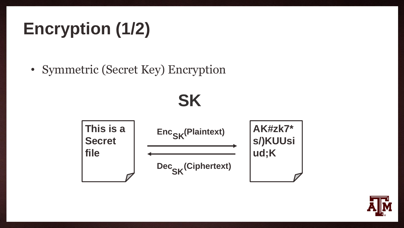# **Encryption (1/2)**

• Symmetric (Secret Key) Encryption

**SK**



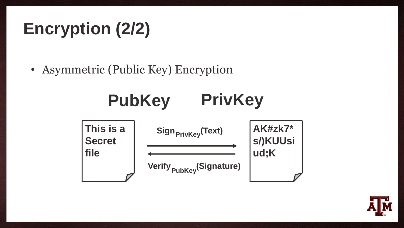# **Encryption (2/2)**

• Asymmetric (Public Key) Encryption



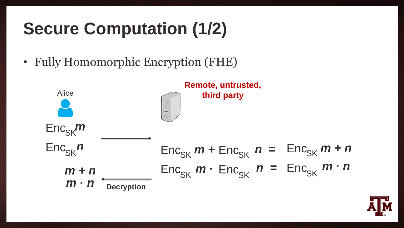## **Secure Computation (1/2)**

• Fully Homomorphic Encryption (FHE)



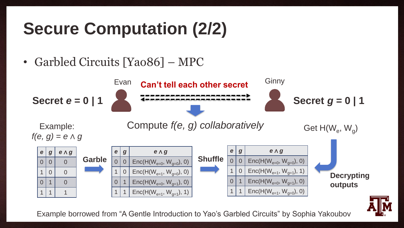## **Secure Computation (2/2)**

• Garbled Circuits [Yao86] – MPC



Example borrowed from "A Gentle Introduction to Yao's Garbled Circuits" by Sophia Yakoubov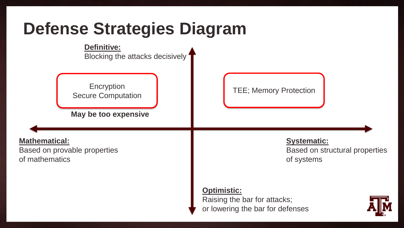

#### **Definitive:**

Blocking the attacks decisively

Encryption Secure Computation TEE; Memory Protection

**May be too expensive**

### **Mathematical:**

Based on provable properties of mathematics

### **Systematic:** Based on structural properties of systems

#### **Optimistic:**

Raising the bar for attacks; or lowering the bar for defenses

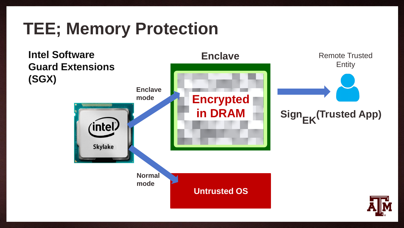## **TEE; Memory Protection**

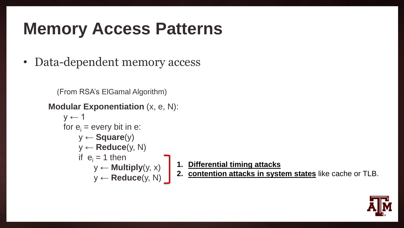## **Memory Access Patterns**

• Data-dependent memory access

```
(From RSA's ElGamal Algorithm)
```

```
Modular Exponentiation (x, e, N):
```

```
y \leftarrow 1for e_i = every bit in e:
y ← Square(y)
y ← Reduce(y, N)
if e_i = 1 then
     y \leftarrow Multiply(y, x)y ← Reduce(y, N)
```
- **1. Differential timing attacks**
- **2. contention attacks in system states** like cache or TLB.

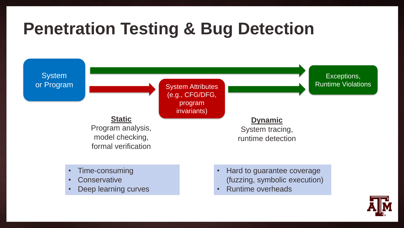## **Penetration Testing & Bug Detection**

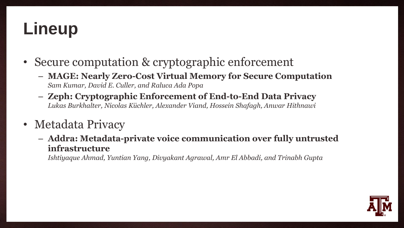## **Lineup**

- Secure computation & cryptographic enforcement
	- **MAGE: Nearly Zero-Cost Virtual Memory for Secure Computation** *Sam Kumar, David E. Culler, and Raluca Ada Popa*
	- **Zeph: Cryptographic Enforcement of End-to-End Data Privacy** *Lukas Burkhalter, Nicolas Küchler, Alexander Viand, Hossein Shafagh, Anwar Hithnawi*
- Metadata Privacy
	- **Addra: Metadata-private voice communication over fully untrusted infrastructure**

*Ishtiyaque Ahmad, Yuntian Yang, Divyakant Agrawal, Amr El Abbadi, and Trinabh Gupta*

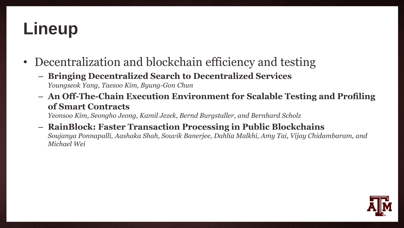## **Lineup**

- Decentralization and blockchain efficiency and testing
	- **Bringing Decentralized Search to Decentralized Services** *Youngseok Yang, Taesoo Kim, Byung-Gon Chun*
	- **An Off-The-Chain Execution Environment for Scalable Testing and Profiling of Smart Contracts**

*Yeonsoo Kim, Seongho Jeong, Kamil Jezek, Bernd Burgstaller, and Bernhard Scholz*

– **RainBlock: Faster Transaction Processing in Public Blockchains** *Soujanya Ponnapalli, Aashaka Shah, Souvik Banerjee, Dahlia Malkhi, Amy Tai, Vijay Chidambaram, and Michael Wei*

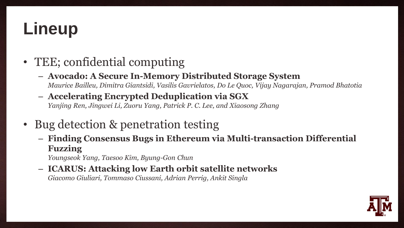## **Lineup**

- TEE; confidential computing
	- **Avocado: A Secure In-Memory Distributed Storage System** *Maurice Bailleu, Dimitra Giantsidi, Vasilis Gavrielatos, Do Le Quoc, Vijay Nagarajan, Pramod Bhatotia*
	- **Accelerating Encrypted Deduplication via SGX** *Yanjing Ren, Jingwei Li, Zuoru Yang, Patrick P. C. Lee, and Xiaosong Zhang*
- Bug detection & penetration testing
	- **Finding Consensus Bugs in Ethereum via Multi-transaction Differential Fuzzing**

*Youngseok Yang, Taesoo Kim, Byung-Gon Chun*

– **ICARUS: Attacking low Earth orbit satellite networks** *Giacomo Giuliari, Tommaso Ciussani, Adrian Perrig, Ankit Singla*